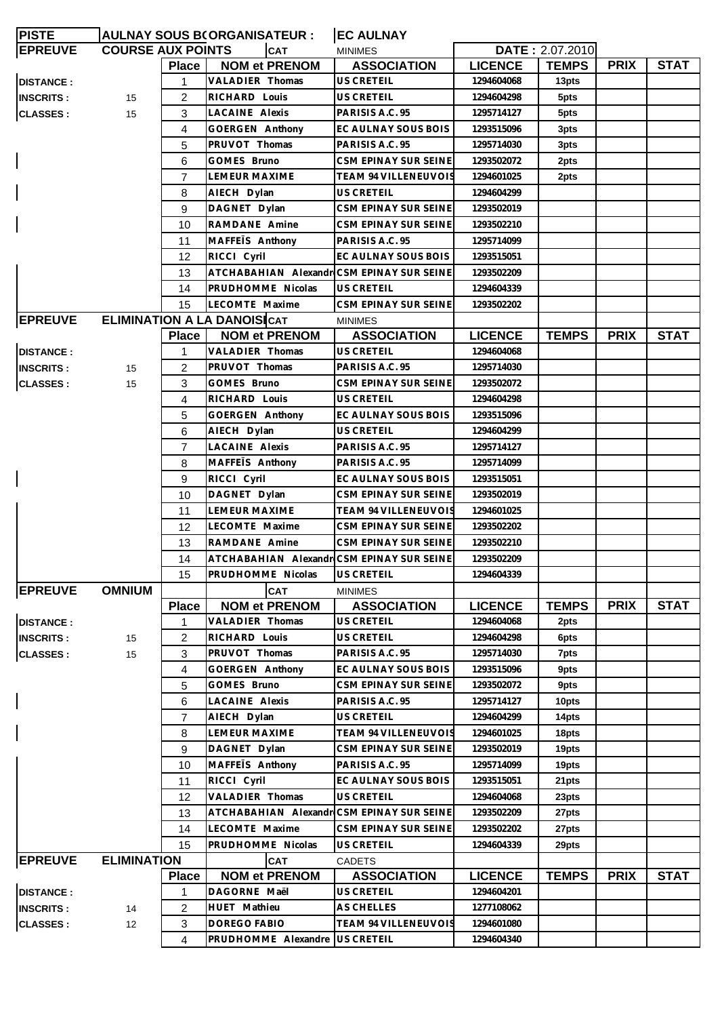| <b>PISTE</b>     |                          |                | <b>AULNAY SOUS B(ORGANISATEUR :</b>       | <b>EC AULNAY</b>            |                |                 |             |             |
|------------------|--------------------------|----------------|-------------------------------------------|-----------------------------|----------------|-----------------|-------------|-------------|
| <b>EPREUVE</b>   | <b>COURSE AUX POINTS</b> |                | <b>CAT</b>                                | <b>MINIMES</b>              |                | DATE: 2.07.2010 |             |             |
|                  |                          | Place          | <b>NOM et PRENOM</b>                      | <b>ASSOCIATION</b>          | <b>LICENCE</b> | <b>TEMPS</b>    | <b>PRIX</b> | <b>STAT</b> |
| <b>DISTANCE:</b> |                          | 1              | VALADIER Thomas                           | US CRETEIL                  | 1294604068     | 13pts           |             |             |
| <b>INSCRITS:</b> | 15                       | 2              | RICHARD Louis                             | US CRETEIL                  | 1294604298     | 5pts            |             |             |
| <b>CLASSES:</b>  | 15                       | 3              | <b>LACAINE Alexis</b>                     | PARISIS A.C. 95             | 1295714127     | 5pts            |             |             |
|                  |                          | 4              | GOERGEN Anthony                           | EC AULNAY SOUS BOIS         | 1293515096     | 3pts            |             |             |
|                  |                          | 5              | PRUVOT Thomas                             | PARISIS A.C. 95             | 1295714030     | 3pts            |             |             |
|                  |                          | 6              | GOMES Bruno                               | CSM EPINAY SUR SEINE        | 1293502072     | 2pts            |             |             |
|                  |                          | $\overline{7}$ | <b>LEMEUR MAXIME</b>                      | <b>TEAM 94 VILLENEUVOIS</b> | 1294601025     | 2pts            |             |             |
|                  |                          | 8              | AIECH Dylan                               | <b>US CRETEIL</b>           | 1294604299     |                 |             |             |
|                  |                          | 9              | DAGNET Dylan                              | CSM EPINAY SUR SEINE        | 1293502019     |                 |             |             |
|                  |                          | 10             | RAMDANE Amine                             | CSM EPINAY SUR SEINE        | 1293502210     |                 |             |             |
|                  |                          | 11             | MAFFETS Anthony                           | PARISIS A.C. 95             | 1295714099     |                 |             |             |
|                  |                          | 12             | RICCI Cyril                               | EC AULNAY SOUS BOIS         | 1293515051     |                 |             |             |
|                  |                          | 13             | ATCHABAHIAN Alexandr CSM EPINAY SUR SEINE |                             | 1293502209     |                 |             |             |
|                  |                          | 14             | PRUDHOMME Nicolas                         | <b>US CRETEIL</b>           | 1294604339     |                 |             |             |
|                  |                          | 15             | LECOMTE Maxime                            | CSM EPINAY SUR SEINE        | 1293502202     |                 |             |             |
| <b>EPREUVE</b>   |                          |                | <b>ELIMINATION A LA DANOISICAT</b>        | <b>MINIMES</b>              |                |                 |             |             |
|                  |                          | Place          | <b>NOM et PRENOM</b>                      | <b>ASSOCIATION</b>          | <b>LICENCE</b> | <b>TEMPS</b>    | <b>PRIX</b> | <b>STAT</b> |
| <b>DISTANCE:</b> |                          | 1              | VALADIER Thomas                           | US CRETEIL                  | 1294604068     |                 |             |             |
| <b>INSCRITS:</b> |                          | 2              | PRUVOT Thomas                             | PARISIS A.C. 95             | 1295714030     |                 |             |             |
|                  | 15                       |                | GOMES Bruno                               | CSM EPINAY SUR SEINE        | 1293502072     |                 |             |             |
| <b>CLASSES:</b>  | 15                       | 3              |                                           |                             |                |                 |             |             |
|                  |                          | 4              | RICHARD Louis                             | US CRETEIL                  | 1294604298     |                 |             |             |
|                  |                          | 5              | GOERGEN Anthony                           | EC AULNAY SOUS BOIS         | 1293515096     |                 |             |             |
|                  |                          | 6              | AIECH Dylan                               | US CRETEIL                  | 1294604299     |                 |             |             |
|                  |                          | $\overline{7}$ | LACAINE Alexis                            | PARISIS A.C. 95             | 1295714127     |                 |             |             |
|                  |                          | 8              | MAFFEIS Anthony                           | PARISIS A.C. 95             | 1295714099     |                 |             |             |
|                  |                          | 9              | RICCI Cyril                               | EC AULNAY SOUS BOIS         | 1293515051     |                 |             |             |
|                  |                          | 10             | DAGNET Dylan                              | CSM EPINAY SUR SEINE        | 1293502019     |                 |             |             |
|                  |                          | 11             | <b>LEMEUR MAXIME</b>                      | <b>TEAM 94 VILLENEUVOIS</b> | 1294601025     |                 |             |             |
|                  |                          | 12             | LECOMTE Maxime                            | CSM EPINAY SUR SEINE        | 1293502202     |                 |             |             |
|                  |                          | 13             | RAMDANE Amine                             | CSM EPINAY SUR SEINE        | 1293502210     |                 |             |             |
|                  |                          | 14             | ATCHABAHIAN Alexandr CSM EPINAY SUR SEINE |                             | 1293502209     |                 |             |             |
|                  |                          | 15             | PRUDHOMME Nicolas                         | US CRETEIL                  | 1294604339     |                 |             |             |
| <b>EPREUVE</b>   | <b>OMNIUM</b>            |                | <b>CAT</b>                                | <b>MINIMES</b>              |                |                 |             |             |
|                  |                          | <b>Place</b>   | <b>NOM et PRENOM</b>                      | <b>ASSOCIATION</b>          | <b>LICENCE</b> | <b>TEMPS</b>    | <b>PRIX</b> | <b>STAT</b> |
| <b>DISTANCE:</b> |                          | 1              | VALADIER Thomas                           | <b>US CRETEIL</b>           | 1294604068     | 2pts            |             |             |
| <b>INSCRITS:</b> | 15                       | 2              | RICHARD Louis                             | US CRETEIL                  | 1294604298     | 6pts            |             |             |
| <b>CLASSES:</b>  | 15                       | 3              | PRUVOT Thomas                             | PARISIS A.C. 95             | 1295714030     | 7pts            |             |             |
|                  |                          | 4              | GOERGEN Anthony                           | EC AULNAY SOUS BOIS         | 1293515096     | 9pts            |             |             |
|                  |                          | 5              | GOMES Bruno                               | CSM EPINAY SUR SEINE        | 1293502072     | 9pts            |             |             |
|                  |                          | 6              | LACAINE Alexis                            | PARISIS A.C. 95             | 1295714127     | 10pts           |             |             |
|                  |                          | $\overline{7}$ | AIECH Dylan                               | US CRETEIL                  | 1294604299     | 14pts           |             |             |
|                  |                          | 8              | LEMEUR MAXIME                             | TEAM 94 VILLENEUVOIS        | 1294601025     | 18pts           |             |             |
|                  |                          | 9              | DAGNET Dylan                              | CSM EPINAY SUR SEINE        | 1293502019     | 19pts           |             |             |
|                  |                          | 10             | MAFFETS Anthony                           | PARISIS A.C. 95             | 1295714099     | 19pts           |             |             |
|                  |                          | 11             | RICCI Cyril                               | EC AULNAY SOUS BOIS         | 1293515051     | 21pts           |             |             |
|                  |                          | 12             | VALADIER Thomas                           | US CRETEIL                  | 1294604068     | 23pts           |             |             |
|                  |                          | 13             | ATCHABAHIAN Alexandr CSM EPINAY SUR SEINE |                             | 1293502209     | 27pts           |             |             |
|                  |                          | 14             | LECOMTE Maxime                            | CSM EPINAY SUR SEINE        | 1293502202     | 27pts           |             |             |
|                  |                          | 15             | PRUDHOMME Nicolas                         | US CRETEIL                  | 1294604339     | 29pts           |             |             |
| <b>EPREUVE</b>   | <b>ELIMINATION</b>       |                | <b>CAT</b>                                | <b>CADETS</b>               |                |                 |             |             |
|                  |                          | <b>Place</b>   | <b>NOM et PRENOM</b>                      | <b>ASSOCIATION</b>          | <b>LICENCE</b> | <b>TEMPS</b>    | <b>PRIX</b> | <b>STAT</b> |
| <b>DISTANCE:</b> |                          | 1              | DAGORNE Maël                              | US CRETEIL                  | 1294604201     |                 |             |             |
| <b>INSCRITS:</b> | 14                       | 2              | HUET Mathieu                              | AS CHELLES                  | 1277108062     |                 |             |             |
| <b>CLASSES:</b>  | 12                       | 3              | DOREGO FABIO                              | TEAM 94 VILLENEUVOIS        | 1294601080     |                 |             |             |
|                  |                          | 4              | PRUDHOMME Alexandre US CRETEIL            |                             | 1294604340     |                 |             |             |
|                  |                          |                |                                           |                             |                |                 |             |             |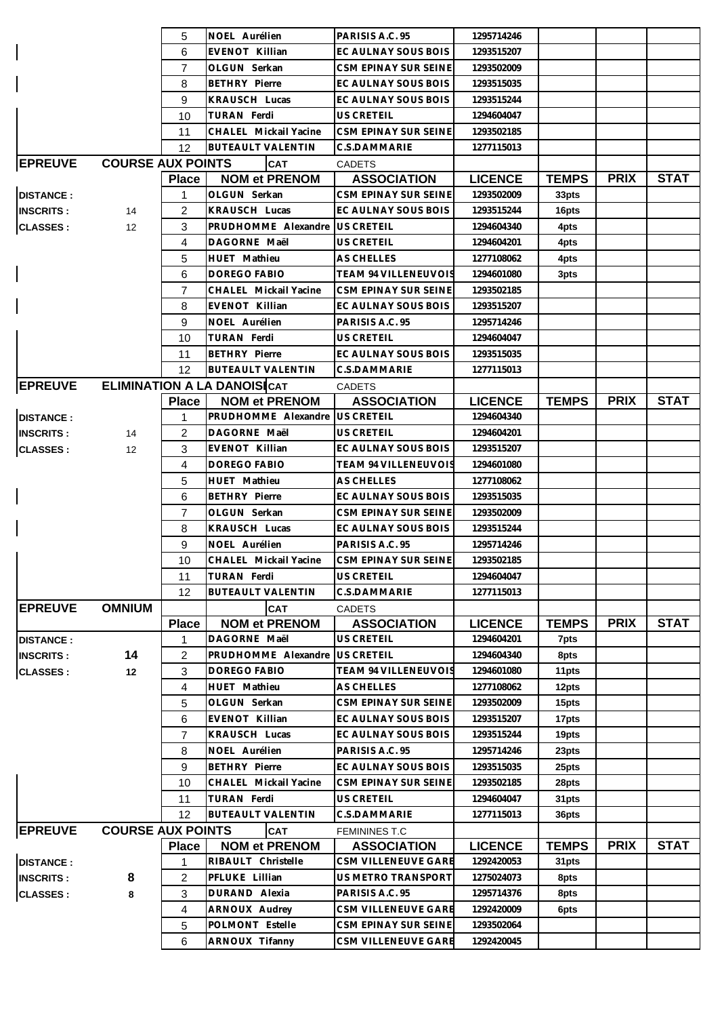|                  |                          | 5              | NOEL Aurélien                      | PARISIS A.C. 95      | 1295714246     |              |             |             |
|------------------|--------------------------|----------------|------------------------------------|----------------------|----------------|--------------|-------------|-------------|
|                  |                          | 6              | EVENOT Killian                     | EC AULNAY SOUS BOIS  | 1293515207     |              |             |             |
|                  |                          | $\overline{7}$ | OLGUN Serkan                       | CSM EPINAY SUR SEINE | 1293502009     |              |             |             |
|                  |                          | 8              | <b>BETHRY Pierre</b>               | EC AULNAY SOUS BOIS  | 1293515035     |              |             |             |
|                  |                          | 9              | <b>KRAUSCH Lucas</b>               | EC AULNAY SOUS BOIS  | 1293515244     |              |             |             |
|                  |                          | 10             | TURAN Ferdi                        | US CRETEIL           | 1294604047     |              |             |             |
|                  |                          | 11             | CHALEL Mickail Yacine              | CSM EPINAY SUR SEINE | 1293502185     |              |             |             |
|                  |                          | 12             | <b>BUTEAULT VALENTIN</b>           | C.S.DAMMARIE         | 1277115013     |              |             |             |
| <b>EPREUVE</b>   | <b>COURSE AUX POINTS</b> |                | <b>CAT</b>                         | <b>CADETS</b>        |                |              |             |             |
|                  |                          | <b>Place</b>   | <b>NOM et PRENOM</b>               | <b>ASSOCIATION</b>   | <b>LICENCE</b> | <b>TEMPS</b> | <b>PRIX</b> | <b>STAT</b> |
| <b>DISTANCE:</b> |                          | 1              | OLGUN Serkan                       | CSM EPINAY SUR SEINE | 1293502009     | 33pts        |             |             |
| <b>INSCRITS:</b> | 14                       | 2              | <b>KRAUSCH Lucas</b>               | EC AULNAY SOUS BOIS  | 1293515244     | 16pts        |             |             |
| <b>CLASSES:</b>  | $12 \overline{ }$        | 3              | PRUDHOMME Alexandre                | <b>US CRETEIL</b>    | 1294604340     | 4pts         |             |             |
|                  |                          | 4              | DAGORNE Maël                       | US CRETEIL           | 1294604201     | 4pts         |             |             |
|                  |                          | 5              | HUET Mathieu                       | AS CHELLES           | 1277108062     | 4pts         |             |             |
|                  |                          | 6              | DOREGO FABIO                       | TEAM 94 VILLENEUVOIS | 1294601080     | 3pts         |             |             |
|                  |                          | 7              | CHALEL Mickail Yacine              | CSM EPINAY SUR SEINE | 1293502185     |              |             |             |
|                  |                          | 8              | EVENOT Killian                     | EC AULNAY SOUS BOIS  | 1293515207     |              |             |             |
|                  |                          | 9              | NOEL Aurélien                      | PARISIS A.C. 95      | 1295714246     |              |             |             |
|                  |                          | 10             | TURAN Ferdi                        | US CRETEIL           | 1294604047     |              |             |             |
|                  |                          | 11             | <b>BETHRY Pierre</b>               | EC AULNAY SOUS BOIS  | 1293515035     |              |             |             |
|                  |                          | 12             | <b>BUTEAULT VALENTIN</b>           | C.S.DAMMARIE         | 1277115013     |              |             |             |
| <b>EPREUVE</b>   |                          |                | <b>ELIMINATION A LA DANOISICAT</b> | <b>CADETS</b>        |                |              |             |             |
|                  |                          | <b>Place</b>   | <b>NOM et PRENOM</b>               | <b>ASSOCIATION</b>   | <b>LICENCE</b> | <b>TEMPS</b> | <b>PRIX</b> | <b>STAT</b> |
| <b>DISTANCE:</b> |                          | 1              | PRUDHOMME Alexandre                | <b>US CRETEIL</b>    | 1294604340     |              |             |             |
| <b>INSCRITS:</b> | 14                       | $\overline{2}$ | DAGORNE Maël                       | US CRETEIL           | 1294604201     |              |             |             |
| <b>CLASSES:</b>  | $12 \overline{ }$        | 3              | EVENOT Killian                     | EC AULNAY SOUS BOIS  | 1293515207     |              |             |             |
|                  |                          | 4              | DOREGO FABIO                       | TEAM 94 VILLENEUVOIS | 1294601080     |              |             |             |
|                  |                          | 5              | HUET Mathieu                       | AS CHELLES           | 1277108062     |              |             |             |
|                  |                          | 6              | <b>BETHRY Pierre</b>               | EC AULNAY SOUS BOIS  | 1293515035     |              |             |             |
|                  |                          | $\overline{7}$ | OLGUN Serkan                       | CSM EPINAY SUR SEINE | 1293502009     |              |             |             |
|                  |                          | 8              | <b>KRAUSCH Lucas</b>               | EC AULNAY SOUS BOIS  | 1293515244     |              |             |             |
|                  |                          | 9              | NOEL Aurélien                      | PARISIS A.C. 95      | 1295714246     |              |             |             |
|                  |                          | 10             | CHALEL Mickail Yacine              | CSM EPINAY SUR SEINE | 1293502185     |              |             |             |
|                  |                          | 11             | TURAN Ferdi                        | US CRETEIL           | 1294604047     |              |             |             |
|                  |                          | 12             | <b>BUTEAULT VALENTIN</b>           | C.S.DAMMARIE         | 1277115013     |              |             |             |
| <b>EPREUVE</b>   | <b>OMNIUM</b>            |                | <b>CAT</b>                         | <b>CADETS</b>        |                |              |             |             |
|                  |                          | <b>Place</b>   | <b>NOM et PRENOM</b>               | <b>ASSOCIATION</b>   | <b>LICENCE</b> | <b>TEMPS</b> | <b>PRIX</b> | <b>STAT</b> |
| <b>DISTANCE:</b> |                          | 1              | DAGORNE Maël                       | US CRETEIL           | 1294604201     | 7pts         |             |             |
| <b>INSCRITS:</b> | 14                       | 2              | PRUDHOMME Alexandre                | US CRETEIL           | 1294604340     | 8pts         |             |             |
| <b>CLASSES:</b>  | 12                       | 3              | <b>DOREGO FABIO</b>                | TEAM 94 VILLENEUVOIS | 1294601080     | 11pts        |             |             |
|                  |                          | 4              | HUET Mathieu                       | AS CHELLES           | 1277108062     | 12pts        |             |             |
|                  |                          | 5              | OLGUN Serkan                       | CSM EPINAY SUR SEINE | 1293502009     | 15pts        |             |             |
|                  |                          | 6              | EVENOT Killian                     | EC AULNAY SOUS BOIS  | 1293515207     | 17pts        |             |             |
|                  |                          | $\overline{7}$ | <b>KRAUSCH Lucas</b>               | EC AULNAY SOUS BOIS  | 1293515244     | 19pts        |             |             |
|                  |                          | 8              | NOEL Aurélien                      | PARISIS A.C. 95      | 1295714246     | 23pts        |             |             |
|                  |                          | 9              | <b>BETHRY Pierre</b>               | EC AULNAY SOUS BOIS  | 1293515035     | 25pts        |             |             |
|                  |                          | 10             | CHALEL Mickail Yacine              | CSM EPINAY SUR SEINE | 1293502185     | 28pts        |             |             |
|                  |                          | 11             | TURAN Ferdi                        | US CRETEIL           | 1294604047     | 31pts        |             |             |
|                  |                          | 12             | <b>BUTEAULT VALENTIN</b>           | C.S.DAMMARIE         | 1277115013     | 36pts        |             |             |
| <b>EPREUVE</b>   | <b>COURSE AUX POINTS</b> |                | <b>CAT</b>                         | <b>FEMININES T.C</b> |                |              |             |             |
|                  |                          | <b>Place</b>   | <b>NOM et PRENOM</b>               | <b>ASSOCIATION</b>   | <b>LICENCE</b> | <b>TEMPS</b> | <b>PRIX</b> | <b>STAT</b> |
| <b>DISTANCE:</b> |                          | 1              | RIBAULT Christelle                 | CSM VILLENEUVE GARE  | 1292420053     | 31pts        |             |             |
| <b>INSCRITS:</b> | 8                        | 2              | PFLUKE Lillian                     | US METRO TRANSPORT   | 1275024073     | 8pts         |             |             |
| <b>CLASSES:</b>  | 8                        | 3              | DURAND Alexia                      | PARISIS A.C. 95      | 1295714376     | 8pts         |             |             |
|                  |                          | 4              | ARNOUX Audrey                      | CSM VILLENEUVE GARE  | 1292420009     | 6pts         |             |             |
|                  |                          | 5              | POLMONT Estelle                    | CSM EPINAY SUR SEINE | 1293502064     |              |             |             |
|                  |                          | 6              | ARNOUX Tifanny                     | CSM VILLENEUVE GARE  | 1292420045     |              |             |             |